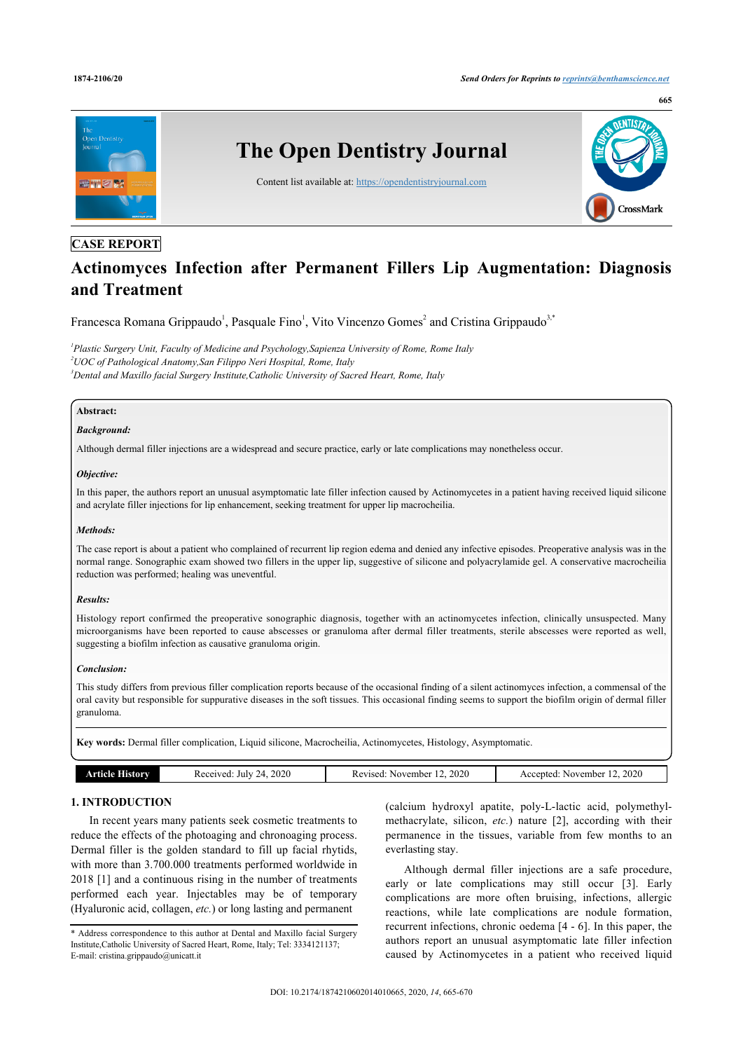

# **CASE REPORT**

# **Actinomyces Infection after Permanent Fillers Lip Augmentation: Diagnosis and Treatment**

Francesca Romana Grippaudo<sup>[1](#page-0-0)</sup>, Pasquale Fino<sup>1</sup>, Vito Vincenzo Gomes<sup>[2](#page-0-1)</sup> and Cristina Grippaudo<sup>[3](#page-0-2)[,\\*](#page-0-3)</sup>

<span id="page-0-2"></span><span id="page-0-1"></span><span id="page-0-0"></span>*1 Plastic Surgery Unit, Faculty of Medicine and Psychology,Sapienza University of Rome, Rome Italy <sup>2</sup>UOC of Pathological Anatomy,San Filippo Neri Hospital, Rome, Italy <sup>3</sup>Dental and Maxillo facial Surgery Institute,Catholic University of Sacred Heart, Rome, Italy*

# **Abstract:**

## *Background:*

Although dermal filler injections are a widespread and secure practice, early or late complications may nonetheless occur.

### *Objective:*

In this paper, the authors report an unusual asymptomatic late filler infection caused by Actinomycetes in a patient having received liquid silicone and acrylate filler injections for lip enhancement, seeking treatment for upper lip macrocheilia.

### *Methods:*

The case report is about a patient who complained of recurrent lip region edema and denied any infective episodes. Preoperative analysis was in the normal range. Sonographic exam showed two fillers in the upper lip, suggestive of silicone and polyacrylamide gel. A conservative macrocheilia reduction was performed; healing was uneventful.

## *Results:*

Histology report confirmed the preoperative sonographic diagnosis, together with an actinomycetes infection, clinically unsuspected. Many microorganisms have been reported to cause abscesses or granuloma after dermal filler treatments, sterile abscesses were reported as well, suggesting a biofilm infection as causative granuloma origin.

# *Conclusion:*

This study differs from previous filler complication reports because of the occasional finding of a silent actinomyces infection, a commensal of the oral cavity but responsible for suppurative diseases in the soft tissues. This occasional finding seems to support the biofilm origin of dermal filler granuloma.

**Key words:** Dermal filler complication, Liquid silicone, Macrocheilia, Actinomycetes, Histology, Asymptomatic.

| $-2020$<br>2020<br>24, 2020<br>July<br>Accepted:<br>November<br>Received:<br>Revised:<br>November<br>hstory<br>witch. |
|-----------------------------------------------------------------------------------------------------------------------|
|-----------------------------------------------------------------------------------------------------------------------|

# **1. INTRODUCTION**

In recent years many patients seek cosmetic treatments to reduce the effects of the photoaging and chronoaging process. Dermal filler is the golden standard to fill up facial rhytids, with more than 3.700.000 treatments performed worldwide in 2018 [[1\]](#page-4-0) and a continuous rising in the number of treatments performed each year. Injectables may be of temporary (Hyaluronic acid, collagen, *etc.*) or long lasting and permanent

(calcium hydroxyl apatite, poly-L-lactic acid, polymethylmethacrylate, silicon, *etc.*) nature[[2](#page-4-1)], according with their permanence in the tissues, variable from few months to an everlasting stay.

Although dermal filler injections are a safe procedure, early or late complications may still occur[[3](#page-4-2)]. Early complications are more often bruising, infections, allergic reactions, while late complications are nodule formation, recurrent infections, chronic oedema [\[4](#page-4-3) - [6\]](#page-4-4). In this paper, the authors report an unusual asymptomatic late filler infection caused by Actinomycetes in a patient who received liquid

<span id="page-0-3"></span><sup>\*</sup> Address correspondence to this author at Dental and Maxillo facial Surgery Institute,Catholic University of Sacred Heart, Rome, Italy; Tel: 3334121137; E-mail: [cristina.grippaudo@unicatt.it](mailto:cristina.grippaudo@unicatt.it)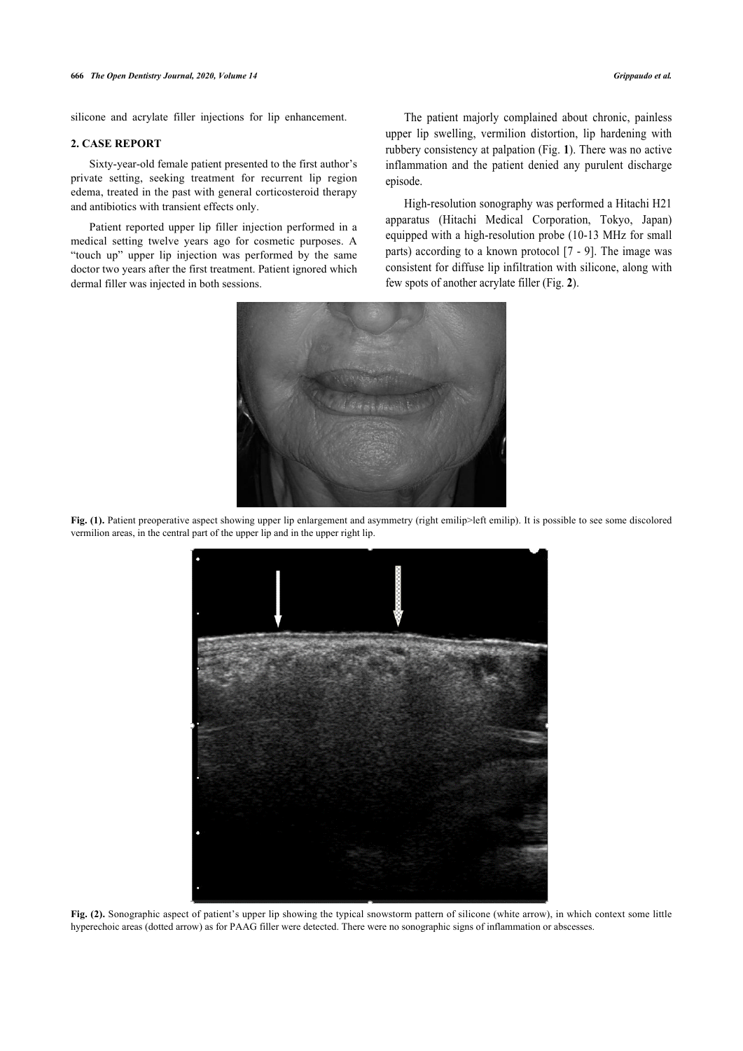# **2. CASE REPORT**

Sixty-year-old female patient presented to the first author's private setting, seeking treatment for recurrent lip region edema, treated in the past with general corticosteroid therapy and antibiotics with transient effects only.

Patient reported upper lip filler injection performed in a medical setting twelve years ago for cosmetic purposes. A "touch up" upper lip injection was performed by the same doctor two years after the first treatment. Patient ignored which dermal filler was injected in both sessions.

The patient majorly complained about chronic, painless upper lip swelling, vermilion distortion, lip hardening with rubbery consistency at palpation (Fig. **[1](#page-1-0)**). There was no active inflammation and the patient denied any purulent discharge episode.

High-resolution sonography was performed a Hitachi H21 apparatus (Hitachi Medical Corporation, Tokyo, Japan) equipped with a high-resolution probe [\(1](#page-4-5)0[-1](#page-4-6)3 MHz for small parts) according to a known protocol [7 - 9]. The image was consistent for diffuse lip infiltration w[ith](#page-1-1) silicone, along with few spots of another acrylate filler (Fig. **2**).

<span id="page-1-0"></span>

**Fig. (1).** Patient preoperative aspect showing upper lip enlargement and asymmetry (right emilip>left emilip). It is possible to see some discolored vermilion areas, in the central part of the upper lip and in the upper right lip.

<span id="page-1-1"></span>

**Fig. (2).** Sonographic aspect of patient's upper lip showing the typical snowstorm pattern of silicone (white arrow), in which context some little hyperechoic areas (dotted arrow) as for PAAG filler were detected. There were no sonographic signs of inflammation or abscesses.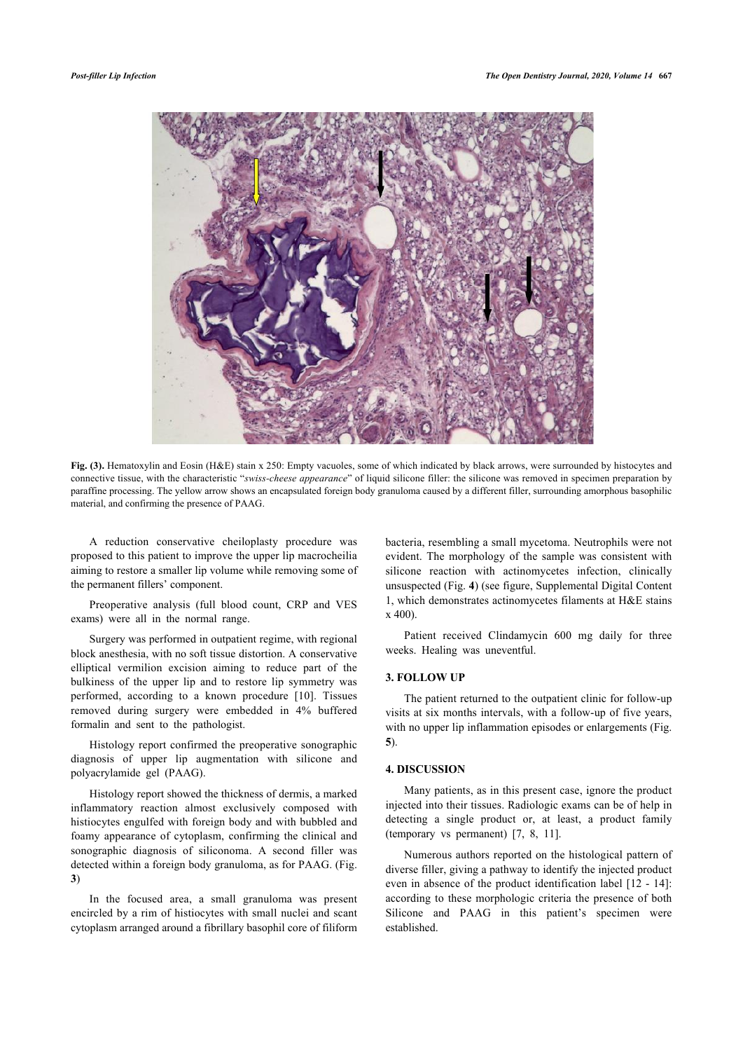<span id="page-2-0"></span>

Fig. (3). Hematoxylin and Eosin (H&E) stain x 250: Empty vacuoles, some of which indicated by black arrows, were surrounded by histocytes and connective tissue, with the characteristic "*swiss-cheese appearance*" of liquid silicone filler: the silicone was removed in specimen preparation by paraffine processing. The yellow arrow shows an encapsulated foreign body granuloma caused by a different filler, surrounding amorphous basophilic material, and confirming the presence of PAAG.

A reduction conservative cheiloplasty procedure was proposed to this patient to improve the upper lip macrocheilia aiming to restore a smaller lip volume while removing some of the permanent fillers' component.

Preoperative analysis (full blood count, CRP and VES exams) were all in the normal range.

Surgery was performed in outpatient regime, with regional block anesthesia, with no soft tissue distortion. A conservative elliptical vermilion excision aiming to reduce part of the bulkiness of the upper lip and to restore lip symmetry was performed, according to a known procedure [\[10](#page-4-7)]. Tissues removed during surgery were embedded in 4% buffered formalin and sent to the pathologist.

Histology report confirmed the preoperative sonographic diagnosis of upper lip augmentation with silicone and polyacrylamide gel (PAAG).

Histology report showed the thickness of dermis, a marked inflammatory reaction almost exclusively composed with histiocytes engulfed with foreign body and with bubbled and foamy appearance of cytoplasm, confirming the clinical and sonographic diagnosis of siliconoma. A second filler was detected within a foreign body granuloma, as for PAAG. (Fig. **[3](#page-2-0)**)

<span id="page-2-1"></span>In the focused area, a small granuloma was present encircled by a rim of histiocytes with small nuclei and scant cytoplasm arranged around a fibrillary basophil core of filiform

bacteria, resembling a small mycetoma. Neutrophils were not evident. The morphology of the sample was consistent with silicone reaction with actinomycetes infection, clinically unsuspected (Fig. **[4](#page-2-1)**) (see figure, Supplemental Digital Content 1, which demonstrates actinomycetes filaments at H&E stains x 400).

Patient received Clindamycin 600 mg daily for three weeks. Healing was uneventful.

# **3. FOLLOW UP**

The patient returned to the outpatient clinic for follow-up visits at six months intervals, with a follow-up of five years, with no upper lip inflammation episodes or enlargements (Fig. **[5](#page-3-0)**).

### **4. DISCUSSION**

Many patients, as in this present case, ignore the product injected into their tissues. Radiologic exams can be of help in detecting a single producto[r,](#page-4-8) [at](#page-4-9) least, a product family (temporary vs permanent) [7, 8, 11].

Numerous authors reported on the histological pattern of diverse filler, giving a pathway to identify the injecte[d p](#page-4-10)ro[duc](#page-4-11)t even in absence of the product identification label [12 - 14]: according to these morphologic criteria the presence of both Silicone and PAAG in this patient's specimen were established.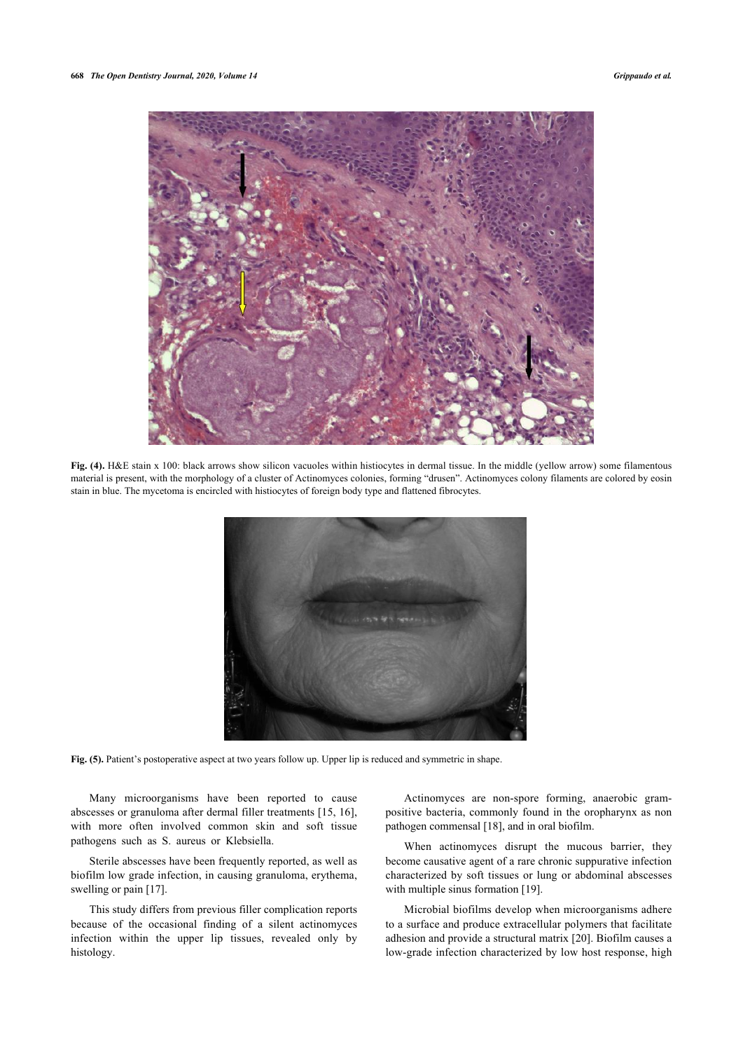

<span id="page-3-0"></span>Fig. (4). H&E stain x 100: black arrows show silicon vacuoles within histiocytes in dermal tissue. In the middle (yellow arrow) some filamentous material is present, with the morphology of a cluster of Actinomyces colonies, forming "drusen". Actinomyces colony filaments are colored by eosin stain in blue. The mycetoma is encircled with histiocytes of foreign body type and flattened fibrocytes.



Fig. (5). Patient's postoperative aspect at two years follow up. Upper lip is reduced and symmetric in shape.

Many microorganisms have been reported to cause abscesses or granuloma after dermal filler treatments [[15,](#page-5-0) [16\]](#page-5-1), with more often involved common skin and soft tissue pathogens such as S. aureus or Klebsiella.

Sterile abscesses have been frequently reported, as well as biofilm low grade infection, in causing granuloma, erythema, swelling or pain [[17\]](#page-5-2).

This study differs from previous filler complication reports because of the occasional finding of a silent actinomyces infection within the upper lip tissues, revealed only by histology.

Actinomyces are non-spore forming, anaerobic grampositive bacteria, commonly found in the oropharynx as non pathogen commensal [\[18](#page-5-3)], and in oral biofilm.

When actinomyces disrupt the mucous barrier, they become causative agent of a rare chronic suppurative infection characterized by soft tissues or lung or abdominal abscesses with multiple sinus formation [[19\]](#page-5-4).

Microbial biofilms develop when microorganisms adhere to a surface and produce extracellular polymers that facilitate adhesion and provide a structural matrix [\[20](#page-5-5)]. Biofilm causes a low-grade infection characterized by low host response, high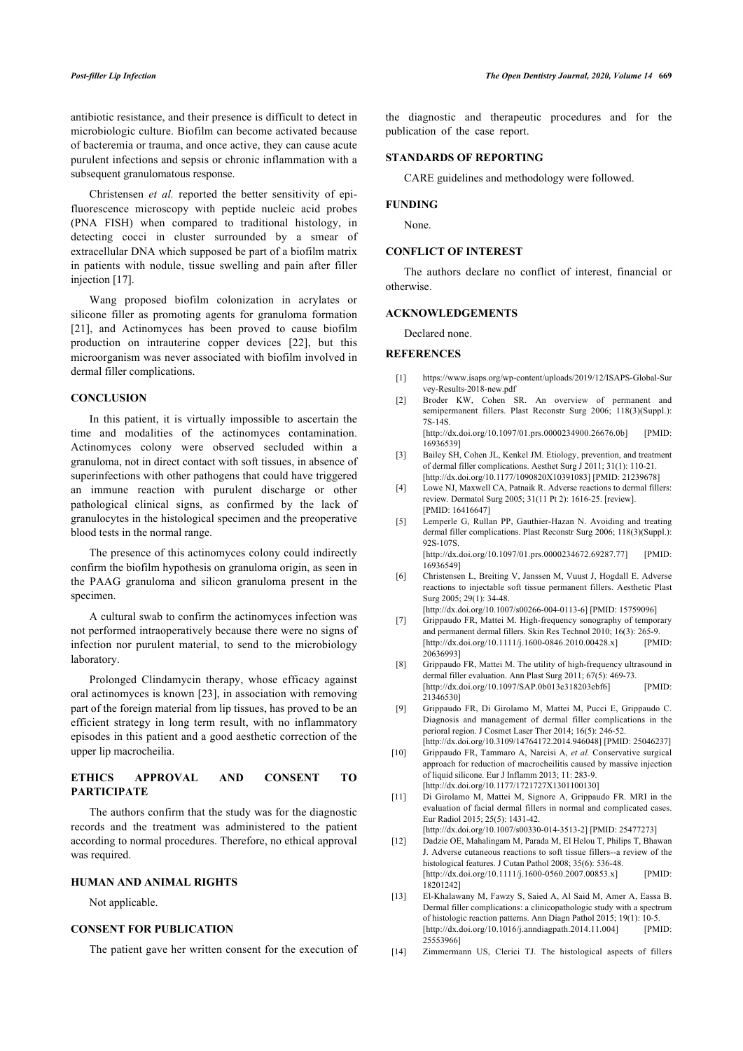antibiotic resistance, and their presence is difficult to detect in microbiologic culture. Biofilm can become activated because of bacteremia or trauma, and once active, they can cause acute purulent infections and sepsis or chronic inflammation with a subsequent granulomatous response.

Christensen *et al.* reported the better sensitivity of epifluorescence microscopy with peptide nucleic acid probes (PNA FISH) when compared to traditional histology, in detecting cocci in cluster surrounded by a smear of extracellular DNA which supposed be part of a biofilm matrix in patients with nodule, tissue swelling and pain after filler injection [\[17](#page-5-2)].

Wang proposed biofilm colonization in acrylates or silicone filler as promoting agents for granuloma formation [[21\]](#page-5-6), and Actinomyces has been proved to cause biofilm production on intrauterine copper devices[[22\]](#page-5-7), but this microorganism was never associated with biofilm involved in dermal filler complications.

### <span id="page-4-1"></span><span id="page-4-0"></span>**CONCLUSION**

<span id="page-4-2"></span>In this patient, it is virtually impossible to ascertain the time and modalities of the actinomyces contamination. Actinomyces colony were observed secluded within a granuloma, not in direct contact with soft tissues, in absence of superinfections with other pathogens that could have triggered an immune reaction with purulent discharge or other pathological clinical signs, as confirmed by the lack of granulocytes in the histological specimen and the preoperative blood tests in the normal range.

<span id="page-4-4"></span><span id="page-4-3"></span>The presence of this actinomyces colony could indirectly confirm the biofilm hypothesis on granuloma origin, as seen in the PAAG granuloma and silicon granuloma present in the specimen.

<span id="page-4-5"></span>A cultural swab to confirm the actinomyces infection was not performed intraoperatively because there were no signs of infection nor purulent material, to send to the microbiology laboratory.

<span id="page-4-8"></span><span id="page-4-6"></span>Prolonged Clindamycin therapy, whose efficacy against oral actinomyces is known [[23\]](#page-5-3), in association with removing part of the foreign material from lip tissues, has proved to be an efficient strategy in long term result, with no inflammatory episodes in this patient and a good aesthetic correction of the upper lip macrocheilia.

# <span id="page-4-7"></span>**ETHICS APPROVAL AND CONSENT TO PARTICIPATE**

<span id="page-4-10"></span><span id="page-4-9"></span>The authors confirm that the study was for the diagnostic records and the treatment was administered to the patient according to normal procedures. Therefore, no ethical approval was required.

# **HUMAN AND ANIMAL RIGHTS**

Not applicable.

# <span id="page-4-11"></span>**CONSENT FOR PUBLICATION**

The patient gave her written consent for the execution of

the diagnostic and therapeutic procedures and for the publication of the case report.

# **STANDARDS OF REPORTING**

CARE guidelines and methodology were followed.

# **FUNDING**

None.

# **CONFLICT OF INTEREST**

The authors declare no conflict of interest, financial or otherwise.

# **ACKNOWLEDGEMENTS**

Declared none.

### **REFERENCES**

- [1] [https://www.isaps.org/wp-content/uploads/2019/12/ISAPS-Global-Sur](https://www.isaps.org/wp-content/uploads/2019/12/ISAPS-Global-Survey-Results-2018-new.pdf) [vey-Results-2018-new.pdf](https://www.isaps.org/wp-content/uploads/2019/12/ISAPS-Global-Survey-Results-2018-new.pdf)
- [2] Broder KW, Cohen SR. An overview of permanent and semipermanent fillers. Plast Reconstr Surg 2006; 118(3)(Suppl.): 7S-14S.

[\[http://dx.doi.org/10.1097/01.prs.0000234900.26676.0b\]](http://dx.doi.org/10.1097/01.prs.0000234900.26676.0b) [PMID: [16936539\]](http://www.ncbi.nlm.nih.gov/pubmed/16936539)

- [3] Bailey SH, Cohen JL, Kenkel JM. Etiology, prevention, and treatment of dermal filler complications. Aesthet Surg J 2011; 31(1): 110-21. [\[http://dx.doi.org/10.1177/1090820X10391083](http://dx.doi.org/10.1177/1090820X10391083)] [PMID: [21239678\]](http://www.ncbi.nlm.nih.gov/pubmed/21239678)
- [4] Lowe NJ, Maxwell CA, Patnaik R. Adverse reactions to dermal fillers: review. Dermatol Surg 2005; 31(11 Pt 2): 1616-25. [review]. [PMID: [16416647\]](http://www.ncbi.nlm.nih.gov/pubmed/16416647)
- [5] Lemperle G, Rullan PP, Gauthier-Hazan N. Avoiding and treating dermal filler complications. Plast Reconstr Surg 2006; 118(3)(Suppl.): 92S-107S. [\[http://dx.doi.org/10.1097/01.prs.0000234672.69287.77\]](http://dx.doi.org/10.1097/01.prs.0000234672.69287.77) [PMID: [16936549\]](http://www.ncbi.nlm.nih.gov/pubmed/16936549)
- [6] Christensen L, Breiting V, Janssen M, Vuust J, Hogdall E. Adverse reactions to injectable soft tissue permanent fillers. Aesthetic Plast Surg 2005; 29(1): 34-48.

[\[http://dx.doi.org/10.1007/s00266-004-0113-6\]](http://dx.doi.org/10.1007/s00266-004-0113-6) [PMID: [15759096](http://www.ncbi.nlm.nih.gov/pubmed/15759096)]

- [7] Grippaudo FR, Mattei M. High-frequency sonography of temporary and permanent dermal fillers. Skin Res Technol 2010; 16(3): 265-9. [\[http://dx.doi.org/10.1111/j.1600-0846.2010.00428.x\]](http://dx.doi.org/10.1111/j.1600-0846.2010.00428.x) [PMID: [20636993\]](http://www.ncbi.nlm.nih.gov/pubmed/20636993)
- [8] Grippaudo FR, Mattei M. The utility of high-frequency ultrasound in dermal filler evaluation. Ann Plast Surg 2011; 67(5): 469-73. [\[http://dx.doi.org/10.1097/SAP.0b013e318203ebf6\]](http://dx.doi.org/10.1097/SAP.0b013e318203ebf6) [PMID: [21346530\]](http://www.ncbi.nlm.nih.gov/pubmed/21346530)
- [9] Grippaudo FR, Di Girolamo M, Mattei M, Pucci E, Grippaudo C. Diagnosis and management of dermal filler complications in the perioral region. J Cosmet Laser Ther 2014; 16(5): 246-52. [\[http://dx.doi.org/10.3109/14764172.2014.946048\]](http://dx.doi.org/10.3109/14764172.2014.946048) [PMID: [25046237\]](http://www.ncbi.nlm.nih.gov/pubmed/25046237)
- [10] Grippaudo FR, Tammaro A, Narcisi A, *et al.* Conservative surgical approach for reduction of macrocheilitis caused by massive injection of liquid silicone. Eur J Inflamm 2013; 11: 283-9. [\[http://dx.doi.org/10.1177/1721727X1301100130](http://dx.doi.org/10.1177/1721727X1301100130)]
- [11] Di Girolamo M, Mattei M, Signore A, Grippaudo FR. MRI in the evaluation of facial dermal fillers in normal and complicated cases. Eur Radiol 2015; 25(5): 1431-42. [\[http://dx.doi.org/10.1007/s00330-014-3513-2\]](http://dx.doi.org/10.1007/s00330-014-3513-2) [PMID: [25477273](http://www.ncbi.nlm.nih.gov/pubmed/25477273)]
- [12] Dadzie OE, Mahalingam M, Parada M, El Helou T, Philips T, Bhawan J. Adverse cutaneous reactions to soft tissue fillers--a review of the histological features. J Cutan Pathol 2008: 35(6): 536-48. [\[http://dx.doi.org/10.1111/j.1600-0560.2007.00853.x\]](http://dx.doi.org/10.1111/j.1600-0560.2007.00853.x) [PMID: [18201242\]](http://www.ncbi.nlm.nih.gov/pubmed/18201242)
- [13] El-Khalawany M, Fawzy S, Saied A, Al Said M, Amer A, Eassa B. Dermal filler complications: a clinicopathologic study with a spectrum of histologic reaction patterns. Ann Diagn Pathol 2015; 19(1): 10-5.  $[http://dx.doi.org/10.1016/i.anndiapanth.2014.11.004]$  [PMID: [25553966\]](http://www.ncbi.nlm.nih.gov/pubmed/25553966)
- [14] Zimmermann US, Clerici TJ. The histological aspects of fillers